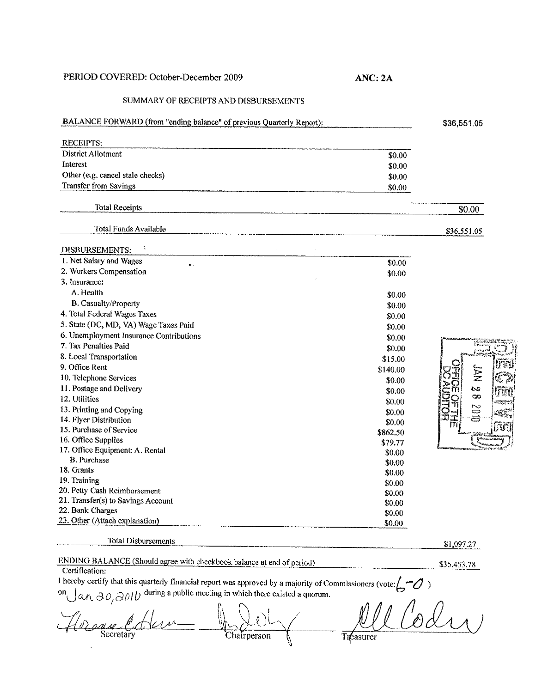## PERIOD COVERED: October-December 2009

## SUMMARY OF RECEIPTS AND DISBURSEMENTS

## BALANCE FORWARD (from "ending balance" of previous Quarterly Report):

| <b>RECEIPTS:</b>                 |                                                                                                                         |
|----------------------------------|-------------------------------------------------------------------------------------------------------------------------|
| District Allotment               | which is a later than the contributions on the process proposition of the contribution of the contribution of<br>\$0.00 |
| Interest                         | \$0.00                                                                                                                  |
| Other (e.g. cancel stale checks) | \$0.00                                                                                                                  |
| Transfer from Savings            | \$0.00                                                                                                                  |

**ANC:2A** 

| <b>Total Receipts</b><br>----------------- | _________ |
|--------------------------------------------|-----------|
|--------------------------------------------|-----------|

Total Funds Available

 $\mathcal{A}$ 

DISBURSEMENTS:

| 1. Net Salary and Wages<br>0:           | \$0.00   |
|-----------------------------------------|----------|
| 2. Workers Compensation                 | \$0.00   |
| 3. Insurance:                           |          |
| A. Health                               | \$0.00   |
| <b>B.</b> Casualty/Property             | \$0.00   |
| 4. Total Federal Wages Taxes            | \$0.00   |
| 5. State (DC, MD, VA) Wage Taxes Paid   | \$0.00   |
| 6. Unemployment Insurance Contributions | \$0.00   |
| 7. Tax Penalties Paid                   | \$0.00   |
| 8. Local Transportation                 | \$15.00  |
| 9. Office Rent                          | \$140.00 |
| 10. Telephone Services                  | \$0.00   |
| 11. Postage and Delivery                | \$0.00   |
| 12. Utilities                           | \$0.00   |
| 13. Printing and Copying                | \$0.00   |
| 14. Flyer Distribution                  | \$0.00   |
| 15. Purchase of Service                 | \$862.50 |
| 16. Office Supplies                     | \$79.77  |
| 17. Office Equipment: A. Rental         | \$0.00   |
| <b>B.</b> Purchase                      | \$0.00   |
| 18. Grants                              | \$0.00   |
| 19. Training                            | \$0.00   |
| 20. Petty Cash Reimbursement            | \$0.00   |
| 21. Transfer(s) to Savings Account      | \$0.00   |
| 22. Bank Charges                        | \$0.00   |
| 23. Other (Attach explanation)          | \$0.00   |



\$36,551.05

\$0.00

\$36,551.05

**Total Disbursements** 

## ENDING BALANCE (Should agree with checkbook balance at end of period) \$35,453.78<br>\$35,453.78

\$1,097.27

**Certification:** 

Thereby certify that this quarterly financial report was approved by a majority of Commissioners (vote:  $5-0$ )<br>
an  $30,3010$  during a public meeting in which there existed a quorum.<br>  $\mathcal{M}$ <br>  $\mathcal{M}$   $\mathcal{M}$   $\mathcal{M}$   $H\psi$  and Secretary . *eJivV-=* ~\\,~, Chatrperson  $\sum_{\text{Chairperson}}$  $\mathbf{r}$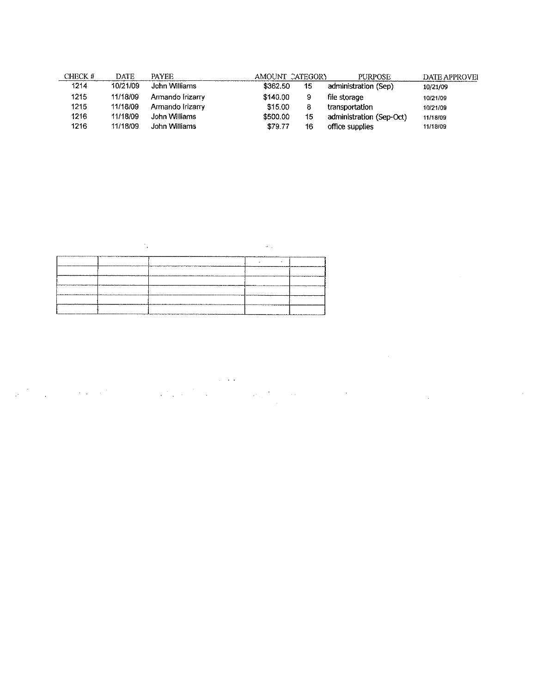| CHECK # | DATE     | <b>PAYEE</b>     |          | AMOUNT CATEGORY | <b>PURPOSE</b>           | DATE APPROVEL |
|---------|----------|------------------|----------|-----------------|--------------------------|---------------|
| 1214    | 10/21/09 | John Williams    | \$362.50 | 15              | administration (Sep)     | 10/21/09      |
| 1215    | 11/18/09 | Armando Irizarry | \$140.00 | 9               | file storage             | 10/21/09      |
| 1215    | 11/18/09 | Armando Irizarry | \$15.00  | 8               | transportation           | 10/21/09      |
| 1216    | 11/18/09 | John Williams    | \$500.00 | 15              | administration (Sep-Oct) | 11/18/09      |
| 1216    | 11/18/09 | John Williams    | \$79.77  | 16              | office supplies          | 11/18/09      |

| <b>COLUMN</b> |  | -7 |         |
|---------------|--|----|---------|
|               |  | ж. |         |
|               |  |    |         |
|               |  |    |         |
|               |  |    |         |
|               |  |    | _______ |